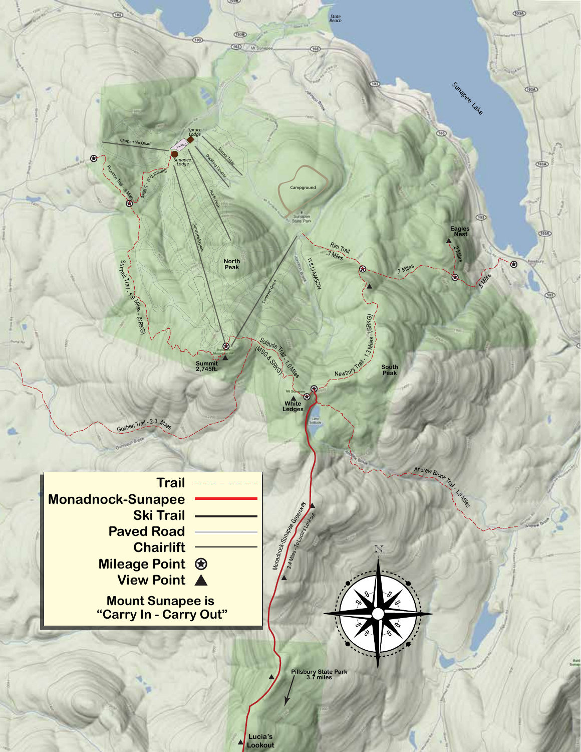